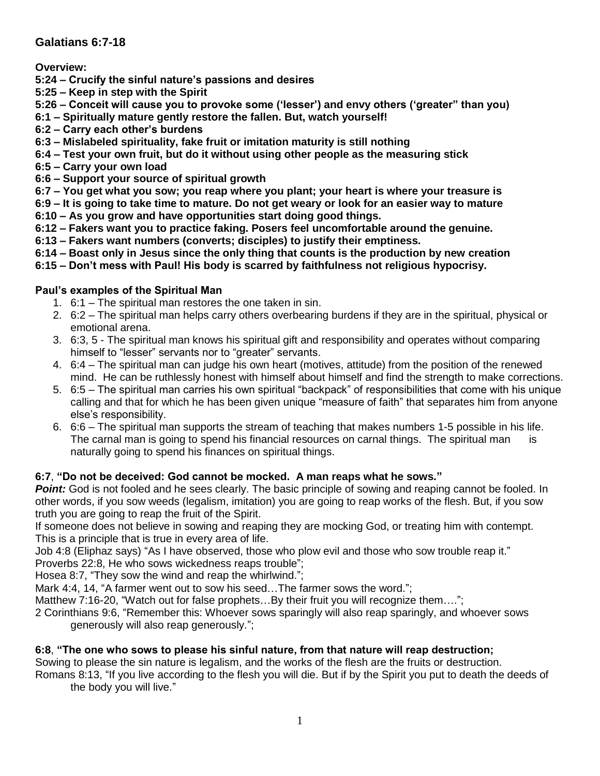# **Galatians 6:7-18**

**Overview:**

- **5:24 – Crucify the sinful nature's passions and desires**
- **5:25 – Keep in step with the Spirit**
- **5:26 – Conceit will cause you to provoke some ('lesser') and envy others ('greater" than you)**
- **6:1 – Spiritually mature gently restore the fallen. But, watch yourself!**
- **6:2 – Carry each other's burdens**
- **6:3 – Mislabeled spirituality, fake fruit or imitation maturity is still nothing**
- **6:4 – Test your own fruit, but do it without using other people as the measuring stick**
- **6:5 – Carry your own load**
- **6:6 – Support your source of spiritual growth**
- **6:7 – You get what you sow; you reap where you plant; your heart is where your treasure is**
- **6:9 – It is going to take time to mature. Do not get weary or look for an easier way to mature**
- **6:10 – As you grow and have opportunities start doing good things.**
- **6:12 – Fakers want you to practice faking. Posers feel uncomfortable around the genuine.**
- **6:13 – Fakers want numbers (converts; disciples) to justify their emptiness.**
- **6:14 – Boast only in Jesus since the only thing that counts is the production by new creation**
- **6:15 – Don't mess with Paul! His body is scarred by faithfulness not religious hypocrisy.**

## **Paul's examples of the Spiritual Man**

- 1. 6:1 The spiritual man restores the one taken in sin.
- 2. 6:2 The spiritual man helps carry others overbearing burdens if they are in the spiritual, physical or emotional arena.
- 3. 6:3, 5 The spiritual man knows his spiritual gift and responsibility and operates without comparing himself to "lesser" servants nor to "greater" servants.
- 4. 6:4 The spiritual man can judge his own heart (motives, attitude) from the position of the renewed mind. He can be ruthlessly honest with himself about himself and find the strength to make corrections.
- 5. 6:5 The spiritual man carries his own spiritual "backpack" of responsibilities that come with his unique calling and that for which he has been given unique "measure of faith" that separates him from anyone else's responsibility.
- 6. 6:6 The spiritual man supports the stream of teaching that makes numbers 1-5 possible in his life. The carnal man is going to spend his financial resources on carnal things. The spiritual man is naturally going to spend his finances on spiritual things.

# **6:7**, **"Do not be deceived: God cannot be mocked. A man reaps what he sows."**

*Point:* God is not fooled and he sees clearly. The basic principle of sowing and reaping cannot be fooled. In other words, if you sow weeds (legalism, imitation) you are going to reap works of the flesh. But, if you sow truth you are going to reap the fruit of the Spirit.

If someone does not believe in sowing and reaping they are mocking God, or treating him with contempt. This is a principle that is true in every area of life.

Job 4:8 (Eliphaz says) "As I have observed, those who plow evil and those who sow trouble reap it."

Proverbs 22:8, He who sows wickedness reaps trouble";

Hosea 8:7, "They sow the wind and reap the whirlwind.";

Mark 4:4, 14, "A farmer went out to sow his seed...The farmer sows the word.":

Matthew 7:16-20, "Watch out for false prophets…By their fruit you will recognize them….";

2 Corinthians 9:6, "Remember this: Whoever sows sparingly will also reap sparingly, and whoever sows generously will also reap generously.";

# **6:8**, **"The one who sows to please his sinful nature, from that nature will reap destruction;**

Sowing to please the sin nature is legalism, and the works of the flesh are the fruits or destruction.

Romans 8:13, "If you live according to the flesh you will die. But if by the Spirit you put to death the deeds of the body you will live."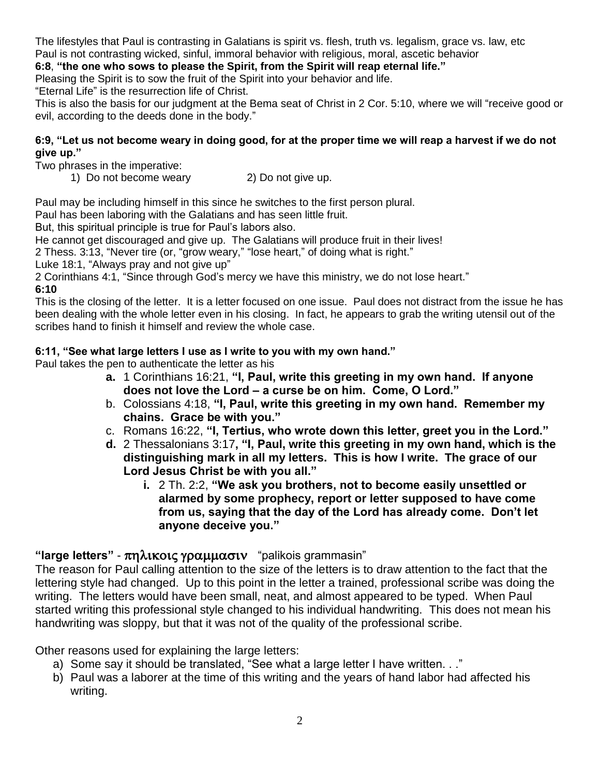The lifestyles that Paul is contrasting in Galatians is spirit vs. flesh, truth vs. legalism, grace vs. law, etc Paul is not contrasting wicked, sinful, immoral behavior with religious, moral, ascetic behavior

### **6:8**, **"the one who sows to please the Spirit, from the Spirit will reap eternal life."**

Pleasing the Spirit is to sow the fruit of the Spirit into your behavior and life.

"Eternal Life" is the resurrection life of Christ.

This is also the basis for our judgment at the Bema seat of Christ in 2 Cor. 5:10, where we will "receive good or evil, according to the deeds done in the body."

### **6:9, "Let us not become weary in doing good, for at the proper time we will reap a harvest if we do not give up."**

Two phrases in the imperative:

1) Do not become weary 2) Do not give up.

Paul may be including himself in this since he switches to the first person plural.

Paul has been laboring with the Galatians and has seen little fruit.

But, this spiritual principle is true for Paul's labors also.

He cannot get discouraged and give up. The Galatians will produce fruit in their lives!

2 Thess. 3:13, "Never tire (or, "grow weary," "lose heart," of doing what is right."

Luke 18:1, "Always pray and not give up"

2 Corinthians 4:1, "Since through God's mercy we have this ministry, we do not lose heart." **6:10**

This is the closing of the letter. It is a letter focused on one issue. Paul does not distract from the issue he has been dealing with the whole letter even in his closing. In fact, he appears to grab the writing utensil out of the scribes hand to finish it himself and review the whole case.

## **6:11, "See what large letters I use as I write to you with my own hand."**

Paul takes the pen to authenticate the letter as his

- **a.** 1 Corinthians 16:21, **"I, Paul, write this greeting in my own hand. If anyone does not love the Lord – a curse be on him. Come, O Lord."**
- b. Colossians 4:18, **"I, Paul, write this greeting in my own hand. Remember my chains. Grace be with you."**
- c. Romans 16:22, **"I, Tertius, who wrote down this letter, greet you in the Lord."**
- **d.** 2 Thessalonians 3:17**, "I, Paul, write this greeting in my own hand, which is the distinguishing mark in all my letters. This is how I write. The grace of our Lord Jesus Christ be with you all."**
	- **i.** 2 Th. 2:2, **"We ask you brothers, not to become easily unsettled or alarmed by some prophecy, report or letter supposed to have come from us, saying that the day of the Lord has already come. Don't let anyone deceive you."**

# "large letters" - πηλικοις γραμμασιν "palikois grammasin"

The reason for Paul calling attention to the size of the letters is to draw attention to the fact that the lettering style had changed. Up to this point in the letter a trained, professional scribe was doing the writing. The letters would have been small, neat, and almost appeared to be typed. When Paul started writing this professional style changed to his individual handwriting. This does not mean his handwriting was sloppy, but that it was not of the quality of the professional scribe.

Other reasons used for explaining the large letters:

- a) Some say it should be translated, "See what a large letter I have written. . ."
- b) Paul was a laborer at the time of this writing and the years of hand labor had affected his writing.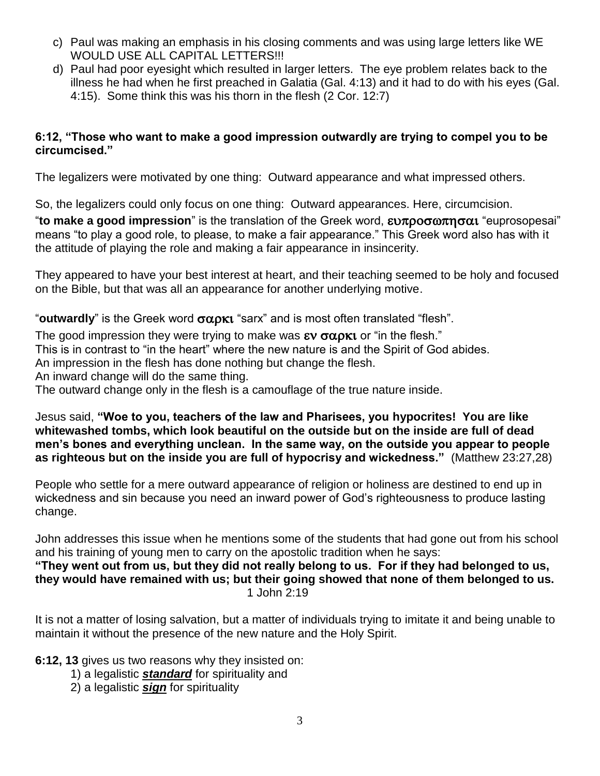- c) Paul was making an emphasis in his closing comments and was using large letters like WE WOULD USE ALL CAPITAL LETTERS!!!
- d) Paul had poor eyesight which resulted in larger letters. The eye problem relates back to the illness he had when he first preached in Galatia (Gal. 4:13) and it had to do with his eyes (Gal. 4:15). Some think this was his thorn in the flesh (2 Cor. 12:7)

## **6:12, "Those who want to make a good impression outwardly are trying to compel you to be circumcised."**

The legalizers were motivated by one thing: Outward appearance and what impressed others.

So, the legalizers could only focus on one thing: Outward appearances. Here, circumcision.

"to make a good impression" is the translation of the Greek word, ευπροσωπησαι "euprosopesai" means "to play a good role, to please, to make a fair appearance." This Greek word also has with it the attitude of playing the role and making a fair appearance in insincerity.

They appeared to have your best interest at heart, and their teaching seemed to be holy and focused on the Bible, but that was all an appearance for another underlying motive.

"**outwardly**" is the Greek word  $\sigma \alpha \rho \kappa t$  "sarx" and is most often translated "flesh".

The good impression they were trying to make was  $\epsilon v \sigma \omega \rho \kappa t$  or "in the flesh."

This is in contrast to "in the heart" where the new nature is and the Spirit of God abides.

An impression in the flesh has done nothing but change the flesh.

An inward change will do the same thing.

The outward change only in the flesh is a camouflage of the true nature inside.

Jesus said, **"Woe to you, teachers of the law and Pharisees, you hypocrites! You are like whitewashed tombs, which look beautiful on the outside but on the inside are full of dead men's bones and everything unclean. In the same way, on the outside you appear to people as righteous but on the inside you are full of hypocrisy and wickedness."** (Matthew 23:27,28)

People who settle for a mere outward appearance of religion or holiness are destined to end up in wickedness and sin because you need an inward power of God's righteousness to produce lasting change.

John addresses this issue when he mentions some of the students that had gone out from his school and his training of young men to carry on the apostolic tradition when he says:

**"They went out from us, but they did not really belong to us. For if they had belonged to us, they would have remained with us; but their going showed that none of them belonged to us.** 1 John 2:19

It is not a matter of losing salvation, but a matter of individuals trying to imitate it and being unable to maintain it without the presence of the new nature and the Holy Spirit.

**6:12, 13** gives us two reasons why they insisted on:

- 1) a legalistic *standard* for spirituality and
- 2) a legalistic *sign* for spirituality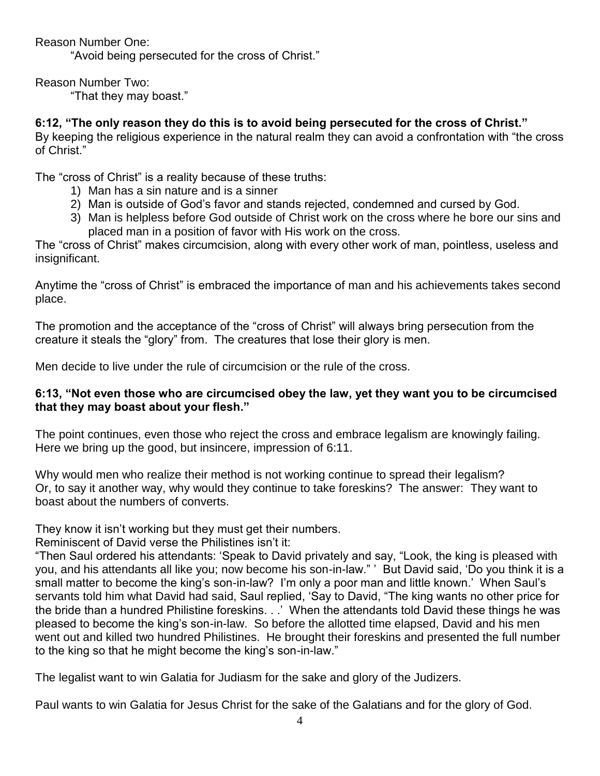Reason Number One:

"Avoid being persecuted for the cross of Christ."

Reason Number Two:

"That they may boast."

# **6:12, "The only reason they do this is to avoid being persecuted for the cross of Christ."**

By keeping the religious experience in the natural realm they can avoid a confrontation with "the cross of Christ."

The "cross of Christ" is a reality because of these truths:

- 1) Man has a sin nature and is a sinner
- 2) Man is outside of God's favor and stands rejected, condemned and cursed by God.
- 3) Man is helpless before God outside of Christ work on the cross where he bore our sins and placed man in a position of favor with His work on the cross.

The "cross of Christ" makes circumcision, along with every other work of man, pointless, useless and insignificant.

Anytime the "cross of Christ" is embraced the importance of man and his achievements takes second place.

The promotion and the acceptance of the "cross of Christ" will always bring persecution from the creature it steals the "glory" from. The creatures that lose their glory is men.

Men decide to live under the rule of circumcision or the rule of the cross.

# **6:13, "Not even those who are circumcised obey the law, yet they want you to be circumcised that they may boast about your flesh."**

The point continues, even those who reject the cross and embrace legalism are knowingly failing. Here we bring up the good, but insincere, impression of 6:11.

Why would men who realize their method is not working continue to spread their legalism? Or, to say it another way, why would they continue to take foreskins? The answer: They want to boast about the numbers of converts.

They know it isn't working but they must get their numbers.

Reminiscent of David verse the Philistines isn't it:

"Then Saul ordered his attendants: 'Speak to David privately and say, "Look, the king is pleased with you, and his attendants all like you; now become his son-in-law." ' But David said, 'Do you think it is a small matter to become the king's son-in-law? I'm only a poor man and little known.' When Saul's servants told him what David had said, Saul replied, 'Say to David, "The king wants no other price for the bride than a hundred Philistine foreskins. . .' When the attendants told David these things he was pleased to become the king's son-in-law. So before the allotted time elapsed, David and his men went out and killed two hundred Philistines. He brought their foreskins and presented the full number to the king so that he might become the king's son-in-law."

The legalist want to win Galatia for Judiasm for the sake and glory of the Judizers.

Paul wants to win Galatia for Jesus Christ for the sake of the Galatians and for the glory of God.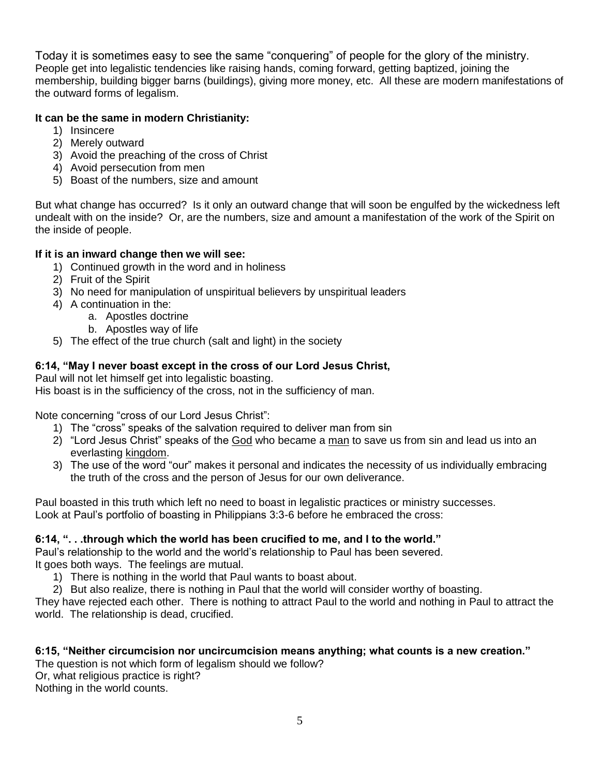Today it is sometimes easy to see the same "conquering" of people for the glory of the ministry. People get into legalistic tendencies like raising hands, coming forward, getting baptized, joining the membership, building bigger barns (buildings), giving more money, etc. All these are modern manifestations of the outward forms of legalism.

## **It can be the same in modern Christianity:**

- 1) Insincere
- 2) Merely outward
- 3) Avoid the preaching of the cross of Christ
- 4) Avoid persecution from men
- 5) Boast of the numbers, size and amount

But what change has occurred? Is it only an outward change that will soon be engulfed by the wickedness left undealt with on the inside? Or, are the numbers, size and amount a manifestation of the work of the Spirit on the inside of people.

### **If it is an inward change then we will see:**

- 1) Continued growth in the word and in holiness
- 2) Fruit of the Spirit
- 3) No need for manipulation of unspiritual believers by unspiritual leaders
- 4) A continuation in the:
	- a. Apostles doctrine
	- b. Apostles way of life
- 5) The effect of the true church (salt and light) in the society

### **6:14, "May I never boast except in the cross of our Lord Jesus Christ,**

Paul will not let himself get into legalistic boasting. His boast is in the sufficiency of the cross, not in the sufficiency of man.

Note concerning "cross of our Lord Jesus Christ":

- 1) The "cross" speaks of the salvation required to deliver man from sin
- 2) "Lord Jesus Christ" speaks of the God who became a man to save us from sin and lead us into an everlasting kingdom.
- 3) The use of the word "our" makes it personal and indicates the necessity of us individually embracing the truth of the cross and the person of Jesus for our own deliverance.

Paul boasted in this truth which left no need to boast in legalistic practices or ministry successes. Look at Paul's portfolio of boasting in Philippians 3:3-6 before he embraced the cross:

#### **6:14, ". . .through which the world has been crucified to me, and I to the world."**

Paul's relationship to the world and the world's relationship to Paul has been severed. It goes both ways. The feelings are mutual.

- 1) There is nothing in the world that Paul wants to boast about.
- 2) But also realize, there is nothing in Paul that the world will consider worthy of boasting.

They have rejected each other. There is nothing to attract Paul to the world and nothing in Paul to attract the world. The relationship is dead, crucified.

#### **6:15, "Neither circumcision nor uncircumcision means anything; what counts is a new creation."**

The question is not which form of legalism should we follow? Or, what religious practice is right? Nothing in the world counts.